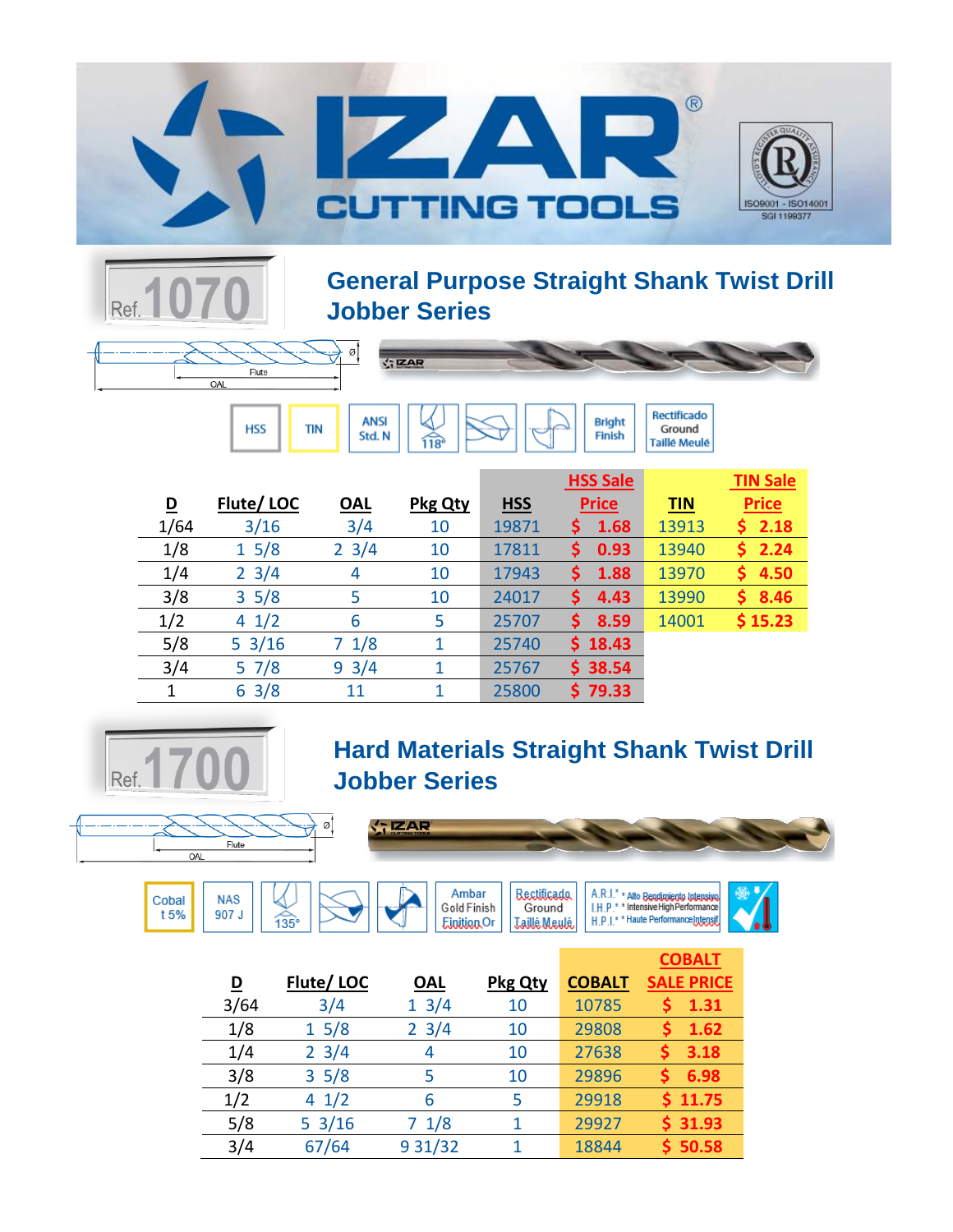



**General Purpose Straight Shank Twist Drill Jobber Series**

Finish

Ground

**Taillé Meulé** 



 $\widehat{118}$ 

**TIN** 

Std. N

**HSS** 

|      |                  |                 |                |            | <b>HSS Sale</b> |            | <b>TIN Sale</b> |
|------|------------------|-----------------|----------------|------------|-----------------|------------|-----------------|
| D    | Flute/LOC        | <u>OAL</u>      | <b>Pkg Qty</b> | <b>HSS</b> | <b>Price</b>    | <b>TIN</b> | <b>Price</b>    |
| 1/64 | 3/16             | 3/4             | 10             | 19871      | 1.68            | 13913      | 2.18            |
| 1/8  | 15/8             | $2 \frac{3}{4}$ | 10             | 17811      | 0.93<br>S       | 13940      | 2.24<br>S.      |
| 1/4  | $2 \frac{3}{4}$  | 4               | 10             | 17943      | 1.88<br>S       | 13970      | 4.50            |
| 3/8  | 35/8             | 5               | 10             | 24017      | 4.43<br>S       | 13990      | 8.46<br>S       |
| 1/2  | 41/2             | 6               | 5              | 25707      | 8.59<br>S       | 14001      | \$15.23         |
| 5/8  | $5 \frac{3}{16}$ | 1/8<br>7        | 1              | 25740      | \$18.43         |            |                 |
| 3/4  | 57/8             | $9 \frac{3}{4}$ |                | 25767      | \$38.54         |            |                 |
| 1    | $6 \frac{3}{8}$  | 11              | 1              | 25800      | \$79.33         |            |                 |



## **Hard Materials Straight Shank Twist Drill Jobber Series**



 $\widehat{135}$ 





 $\sqrt{7}$ IZAR